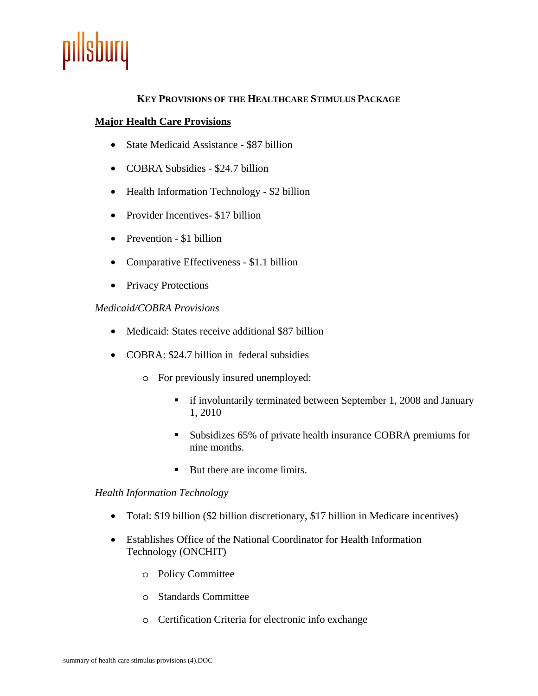

## **KEY PROVISIONS OF THE HEALTHCARE STIMULUS PACKAGE**

#### **Major Health Care Provisions**

- State Medicaid Assistance \$87 billion
- COBRA Subsidies \$24.7 billion
- Health Information Technology \$2 billion
- Provider Incentives- \$17 billion
- Prevention \$1 billion
- Comparative Effectiveness \$1.1 billion
- Privacy Protections

#### *Medicaid/COBRA Provisions*

- Medicaid: States receive additional \$87 billion
- COBRA: \$24.7 billion in federal subsidies
	- o For previously insured unemployed:
		- **f** if involuntarily terminated between September 1, 2008 and January 1, 2010
		- Subsidizes 65% of private health insurance COBRA premiums for nine months.
		- But there are income limits.

#### *Health Information Technology*

- Total: \$19 billion (\$2 billion discretionary, \$17 billion in Medicare incentives)
- Establishes Office of the National Coordinator for Health Information Technology (ONCHIT)
	- o Policy Committee
	- o Standards Committee
	- o Certification Criteria for electronic info exchange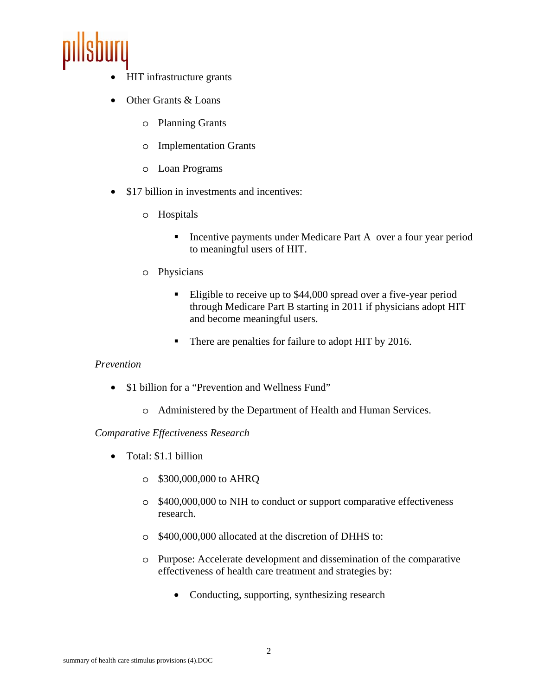

- HIT infrastructure grants
- Other Grants & Loans
	- o Planning Grants
	- o Implementation Grants
	- o Loan Programs
- \$17 billion in investments and incentives:
	- o Hospitals
		- **Incentive payments under Medicare Part A** over a four year period to meaningful users of HIT.
	- o Physicians
		- Eligible to receive up to \$44,000 spread over a five-year period through Medicare Part B starting in 2011 if physicians adopt HIT and become meaningful users.
		- There are penalties for failure to adopt HIT by 2016.

# *Prevention*

- \$1 billion for a "Prevention and Wellness Fund"
	- o Administered by the Department of Health and Human Services.

# *Comparative Effectiveness Research*

- Total: \$1.1 billion
	- o \$300,000,000 to AHRQ
	- o \$400,000,000 to NIH to conduct or support comparative effectiveness research.
	- o \$400,000,000 allocated at the discretion of DHHS to:
	- o Purpose: Accelerate development and dissemination of the comparative effectiveness of health care treatment and strategies by:
		- Conducting, supporting, synthesizing research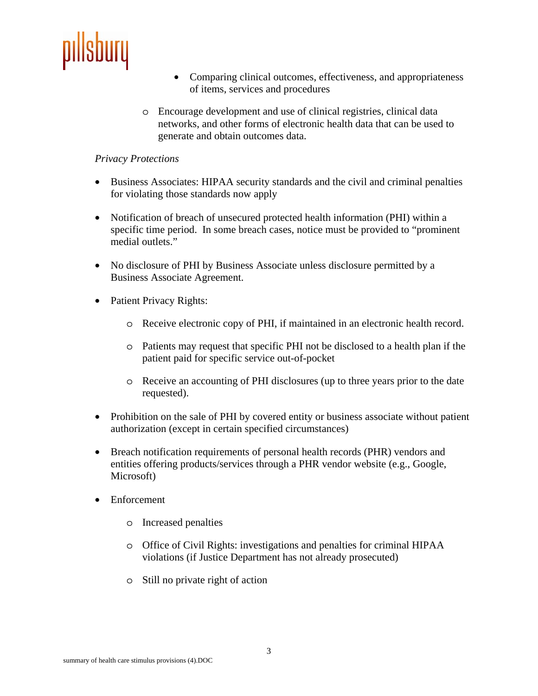

- Comparing clinical outcomes, effectiveness, and appropriateness of items, services and procedures
- o Encourage development and use of clinical registries, clinical data networks, and other forms of electronic health data that can be used to generate and obtain outcomes data.

### *Privacy Protections*

- Business Associates: HIPAA security standards and the civil and criminal penalties for violating those standards now apply
- Notification of breach of unsecured protected health information (PHI) within a specific time period. In some breach cases, notice must be provided to "prominent medial outlets."
- No disclosure of PHI by Business Associate unless disclosure permitted by a Business Associate Agreement.
- Patient Privacy Rights:
	- o Receive electronic copy of PHI, if maintained in an electronic health record.
	- o Patients may request that specific PHI not be disclosed to a health plan if the patient paid for specific service out-of-pocket
	- o Receive an accounting of PHI disclosures (up to three years prior to the date requested).
- Prohibition on the sale of PHI by covered entity or business associate without patient authorization (except in certain specified circumstances)
- Breach notification requirements of personal health records (PHR) vendors and entities offering products/services through a PHR vendor website (e.g., Google, Microsoft)
- Enforcement
	- o Increased penalties
	- o Office of Civil Rights: investigations and penalties for criminal HIPAA violations (if Justice Department has not already prosecuted)
	- o Still no private right of action